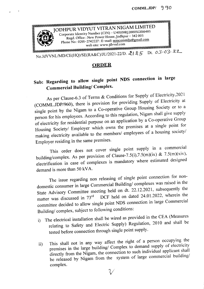

 $\epsilon$ 

No.JdVVNL/MD/CE(HQ)/SE(RA&C)/JU/2021-22/D.  $21.25$  Dt.  $03.0322$ 

## **ORDER**

## Sub: Regarding to allow single point NDS connection in large Commercial Building/ Complex.

As per Clause-6.3 of Terms & Conditions for Supply of Electricity,2021 (COMMLJDP/960), there is provision for providing Supply of Electricity at single point by the Nigam to a Co-operative Group Housing Society or to a person for his employees. According to this regulation, Nigam shall give supply of electricity for residential purpose on an application by a Co-operative Group Housing Society/ Employer which owns the premises at a single point for making electricity available to the members/ employees of a housing society/ Employer residing in the same premises.

This order does not cover single point supply in a commercial building/complex. As per provision of Clause-7.5(i),7.5(m)(ix) & 7.5(m)(xiv), electrification in case of complexes is mandatory where estimated designed demand is more than SOkVA.

The issue regarding non releasing of single point connection for nondomestic consumer in large Commercial Building/ complexes was raised in the State Advisory Committee meeting held on dt. 22.12.2021, subsequently the matter was discussed in 73<sup>rd</sup> DCF held on dated 24.01.2022, wherein the committee decided to allow single point NDS connection in large Commercial Building/ complex, subject to following conditions:

- i) The electrical installation shall be wired as provided in the CEA (Measures relating to Safety and Electric Supply) Regulation, 2010 and shall be tested before connection through single point supply.
- ii) This shall not in any way affect the right of a person occupying the premises in the large building/ Complex to demand supply of electricity directly from the Nigam, the connection to such individual applicant shall be released by Nigam from the system of large commercial building/ complex. *v*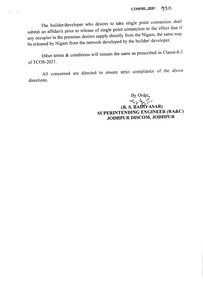The builder/developer who desires to take single point connection shall submit an affidavit prior to release of single point connection to the effect that if any occupier in the premises desires supply directly from the Nigam, the same may be released by Nigam from the network developed by the builder/ developer.

 $\mathbf{g}^{(1)} = \mathbf{g}^{(2)}$ 

Other terms & conditions will remain the same as prescribed in Clause-6.3 of TCOS-2021.

All concerned are directed to ensure strict compliance of the above directions.

> $\mathop{\mathrm{By}}\nolimits\mathop{\mathrm{Orc}}$ *o<.ry-t,'" r '* (R. S. BADt'YASAR) SUPERINTENDING ENGINEER (RA&C) JODHPUR DISCOM, JODHPUR